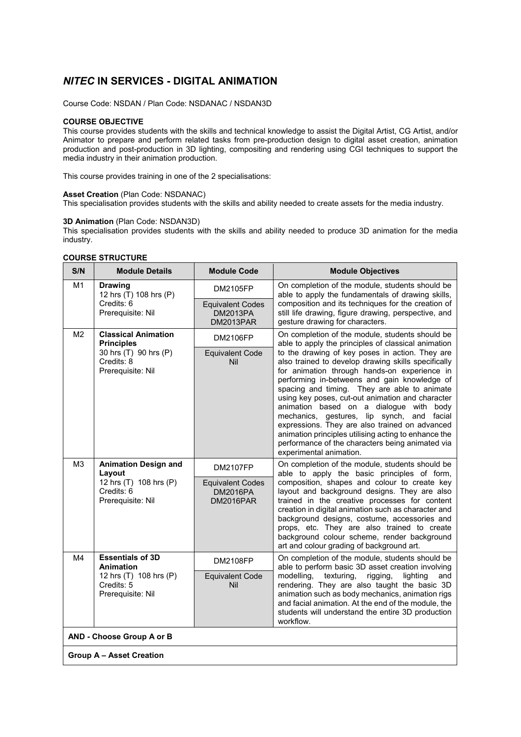# *NITEC* **IN SERVICES - DIGITAL ANIMATION**

Course Code: NSDAN / Plan Code: NSDANAC / NSDAN3D

#### **COURSE OBJECTIVE**

This course provides students with the skills and technical knowledge to assist the Digital Artist, CG Artist, and/or Animator to prepare and perform related tasks from pre-production design to digital asset creation, animation production and post-production in 3D lighting, compositing and rendering using CGI techniques to support the media industry in their animation production.

This course provides training in one of the 2 specialisations:

#### **Asset Creation** (Plan Code: NSDANAC)

This specialisation provides students with the skills and ability needed to create assets for the media industry.

## **3D Animation** (Plan Code: NSDAN3D)

This specialisation provides students with the skills and ability needed to produce 3D animation for the media industry.

#### **COURSE STRUCTURE**

| S/N                             | <b>Module Details</b>                                                                                       | <b>Module Code</b>                                      | <b>Module Objectives</b>                                                                                                                                                                                                                                                                                                                                                                                                                                                                                                                                                                                                                                                                                  |  |  |
|---------------------------------|-------------------------------------------------------------------------------------------------------------|---------------------------------------------------------|-----------------------------------------------------------------------------------------------------------------------------------------------------------------------------------------------------------------------------------------------------------------------------------------------------------------------------------------------------------------------------------------------------------------------------------------------------------------------------------------------------------------------------------------------------------------------------------------------------------------------------------------------------------------------------------------------------------|--|--|
| M1                              | <b>Drawing</b><br>12 hrs (T) 108 hrs (P)<br>Credits: 6<br>Prerequisite: Nil                                 | <b>DM2105FP</b>                                         | On completion of the module, students should be<br>able to apply the fundamentals of drawing skills,<br>composition and its techniques for the creation of<br>still life drawing, figure drawing, perspective, and<br>gesture drawing for characters.                                                                                                                                                                                                                                                                                                                                                                                                                                                     |  |  |
|                                 |                                                                                                             | <b>Equivalent Codes</b><br><b>DM2013PA</b><br>DM2013PAR |                                                                                                                                                                                                                                                                                                                                                                                                                                                                                                                                                                                                                                                                                                           |  |  |
| M <sub>2</sub>                  | <b>Classical Animation</b><br><b>Principles</b><br>30 hrs (T) 90 hrs (P)<br>Credits: 8<br>Prerequisite: Nil | <b>DM2106FP</b>                                         | On completion of the module, students should be<br>able to apply the principles of classical animation<br>to the drawing of key poses in action. They are<br>also trained to develop drawing skills specifically<br>for animation through hands-on experience in<br>performing in-betweens and gain knowledge of<br>spacing and timing. They are able to animate<br>using key poses, cut-out animation and character<br>animation based on a dialogue with body<br>mechanics, gestures, lip synch,<br>and facial<br>expressions. They are also trained on advanced<br>animation principles utilising acting to enhance the<br>performance of the characters being animated via<br>experimental animation. |  |  |
|                                 |                                                                                                             | <b>Equivalent Code</b><br>Nil                           |                                                                                                                                                                                                                                                                                                                                                                                                                                                                                                                                                                                                                                                                                                           |  |  |
| M <sub>3</sub>                  | <b>Animation Design and</b><br>Layout<br>12 hrs (T) 108 hrs (P)<br>Credits: 6<br>Prerequisite: Nil          | <b>DM2107FP</b>                                         | On completion of the module, students should be<br>able to apply the basic principles of form,<br>composition, shapes and colour to create key<br>layout and background designs. They are also<br>trained in the creative processes for content<br>creation in digital animation such as character and<br>background designs, costume, accessories and<br>props, etc. They are also trained to create<br>background colour scheme, render background<br>art and colour grading of background art.                                                                                                                                                                                                         |  |  |
|                                 |                                                                                                             | <b>Equivalent Codes</b><br><b>DM2016PA</b><br>DM2016PAR |                                                                                                                                                                                                                                                                                                                                                                                                                                                                                                                                                                                                                                                                                                           |  |  |
| M4                              | <b>Essentials of 3D</b><br><b>Animation</b>                                                                 | <b>DM2108FP</b>                                         | On completion of the module, students should be<br>able to perform basic 3D asset creation involving<br>modelling,<br>texturing,<br>rigging,<br>lighting<br>and<br>rendering. They are also taught the basic 3D<br>animation such as body mechanics, animation rigs<br>and facial animation. At the end of the module, the<br>students will understand the entire 3D production<br>workflow.                                                                                                                                                                                                                                                                                                              |  |  |
|                                 | 12 hrs (T) 108 hrs (P)<br>Credits: 5<br>Prerequisite: Nil                                                   | <b>Equivalent Code</b><br>Nil                           |                                                                                                                                                                                                                                                                                                                                                                                                                                                                                                                                                                                                                                                                                                           |  |  |
| AND - Choose Group A or B       |                                                                                                             |                                                         |                                                                                                                                                                                                                                                                                                                                                                                                                                                                                                                                                                                                                                                                                                           |  |  |
| <b>Group A - Asset Creation</b> |                                                                                                             |                                                         |                                                                                                                                                                                                                                                                                                                                                                                                                                                                                                                                                                                                                                                                                                           |  |  |